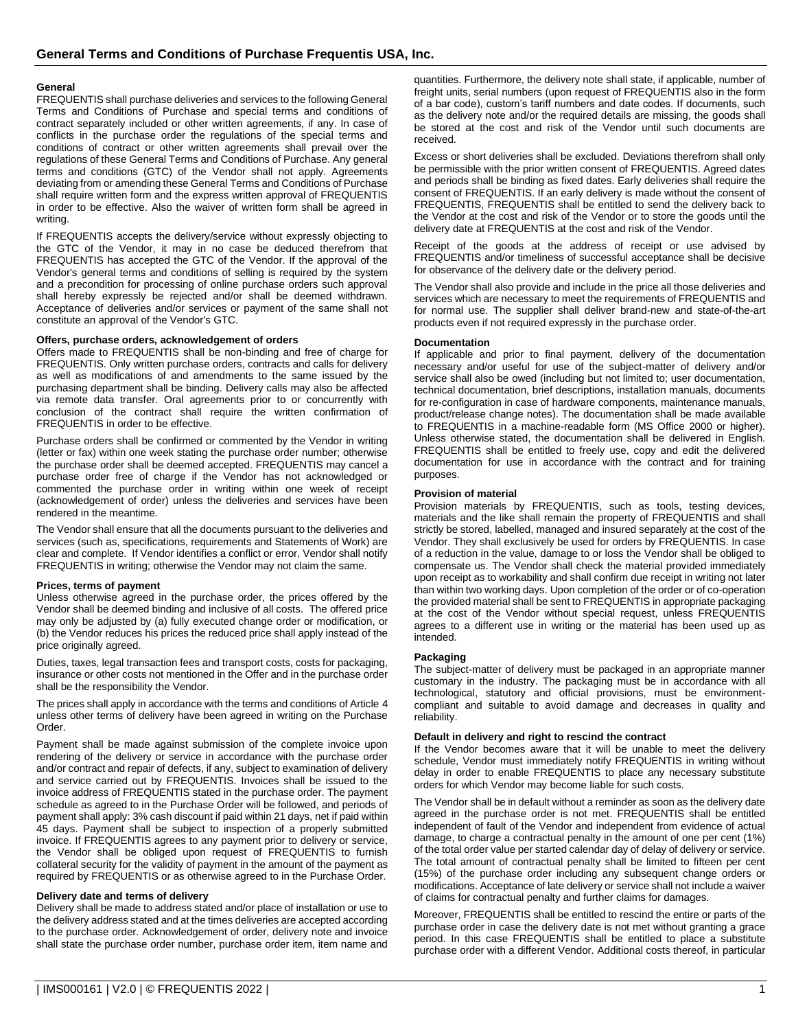## **General**

FREQUENTIS shall purchase deliveries and services to the following General Terms and Conditions of Purchase and special terms and conditions of contract separately included or other written agreements, if any. In case of conflicts in the purchase order the regulations of the special terms and conditions of contract or other written agreements shall prevail over the regulations of these General Terms and Conditions of Purchase. Any general terms and conditions (GTC) of the Vendor shall not apply. Agreements deviating from or amending these General Terms and Conditions of Purchase shall require written form and the express written approval of FREQUENTIS in order to be effective. Also the waiver of written form shall be agreed in writing.

If FREQUENTIS accepts the delivery/service without expressly objecting to the GTC of the Vendor, it may in no case be deduced therefrom that FREQUENTIS has accepted the GTC of the Vendor. If the approval of the Vendor's general terms and conditions of selling is required by the system and a precondition for processing of online purchase orders such approval shall hereby expressly be rejected and/or shall be deemed withdrawn. Acceptance of deliveries and/or services or payment of the same shall not constitute an approval of the Vendor's GTC.

### **Offers, purchase orders, acknowledgement of orders**

Offers made to FREQUENTIS shall be non-binding and free of charge for FREQUENTIS. Only written purchase orders, contracts and calls for delivery as well as modifications of and amendments to the same issued by the purchasing department shall be binding. Delivery calls may also be affected via remote data transfer. Oral agreements prior to or concurrently with conclusion of the contract shall require the written confirmation of FREQUENTIS in order to be effective.

Purchase orders shall be confirmed or commented by the Vendor in writing (letter or fax) within one week stating the purchase order number; otherwise the purchase order shall be deemed accepted. FREQUENTIS may cancel a purchase order free of charge if the Vendor has not acknowledged or commented the purchase order in writing within one week of receipt (acknowledgement of order) unless the deliveries and services have been rendered in the meantime.

The Vendor shall ensure that all the documents pursuant to the deliveries and services (such as, specifications, requirements and Statements of Work) are clear and complete. If Vendor identifies a conflict or error, Vendor shall notify FREQUENTIS in writing; otherwise the Vendor may not claim the same.

#### **Prices, terms of payment**

Unless otherwise agreed in the purchase order, the prices offered by the Vendor shall be deemed binding and inclusive of all costs. The offered price may only be adjusted by (a) fully executed change order or modification, or (b) the Vendor reduces his prices the reduced price shall apply instead of the price originally agreed.

Duties, taxes, legal transaction fees and transport costs, costs for packaging, insurance or other costs not mentioned in the Offer and in the purchase order shall be the responsibility the Vendor.

The prices shall apply in accordance with the terms and conditions of Article 4 unless other terms of delivery have been agreed in writing on the Purchase Order.

Payment shall be made against submission of the complete invoice upon rendering of the delivery or service in accordance with the purchase order and/or contract and repair of defects, if any, subject to examination of delivery and service carried out by FREQUENTIS. Invoices shall be issued to the invoice address of FREQUENTIS stated in the purchase order. The payment schedule as agreed to in the Purchase Order will be followed, and periods of payment shall apply: 3% cash discount if paid within 21 days, net if paid within 45 days. Payment shall be subject to inspection of a properly submitted invoice. If FREQUENTIS agrees to any payment prior to delivery or service, the Vendor shall be obliged upon request of FREQUENTIS to furnish collateral security for the validity of payment in the amount of the payment as required by FREQUENTIS or as otherwise agreed to in the Purchase Order.

#### **Delivery date and terms of delivery**

Delivery shall be made to address stated and/or place of installation or use to the delivery address stated and at the times deliveries are accepted according to the purchase order. Acknowledgement of order, delivery note and invoice shall state the purchase order number, purchase order item, item name and

quantities. Furthermore, the delivery note shall state, if applicable, number of freight units, serial numbers (upon request of FREQUENTIS also in the form of a bar code), custom's tariff numbers and date codes. If documents, such as the delivery note and/or the required details are missing, the goods shall be stored at the cost and risk of the Vendor until such documents are received.

Excess or short deliveries shall be excluded. Deviations therefrom shall only be permissible with the prior written consent of FREQUENTIS. Agreed dates and periods shall be binding as fixed dates. Early deliveries shall require the consent of FREQUENTIS. If an early delivery is made without the consent of FREQUENTIS, FREQUENTIS shall be entitled to send the delivery back to the Vendor at the cost and risk of the Vendor or to store the goods until the delivery date at FREQUENTIS at the cost and risk of the Vendor.

Receipt of the goods at the address of receipt or use advised by FREQUENTIS and/or timeliness of successful acceptance shall be decisive for observance of the delivery date or the delivery period.

The Vendor shall also provide and include in the price all those deliveries and services which are necessary to meet the requirements of FREQUENTIS and for normal use. The supplier shall deliver brand-new and state-of-the-art products even if not required expressly in the purchase order.

### **Documentation**

If applicable and prior to final payment, delivery of the documentation necessary and/or useful for use of the subject-matter of delivery and/or service shall also be owed (including but not limited to; user documentation, technical documentation, brief descriptions, installation manuals, documents for re-configuration in case of hardware components, maintenance manuals, product/release change notes). The documentation shall be made available to FREQUENTIS in a machine-readable form (MS Office 2000 or higher). Unless otherwise stated, the documentation shall be delivered in English. FREQUENTIS shall be entitled to freely use, copy and edit the delivered documentation for use in accordance with the contract and for training purposes.

### **Provision of material**

Provision materials by FREQUENTIS, such as tools, testing devices, materials and the like shall remain the property of FREQUENTIS and shall strictly be stored, labelled, managed and insured separately at the cost of the Vendor. They shall exclusively be used for orders by FREQUENTIS. In case of a reduction in the value, damage to or loss the Vendor shall be obliged to compensate us. The Vendor shall check the material provided immediately upon receipt as to workability and shall confirm due receipt in writing not later than within two working days. Upon completion of the order or of co-operation the provided material shall be sent to FREQUENTIS in appropriate packaging at the cost of the Vendor without special request, unless FREQUENTIS agrees to a different use in writing or the material has been used up as intended.

#### **Packaging**

The subject-matter of delivery must be packaged in an appropriate manner customary in the industry. The packaging must be in accordance with all technological, statutory and official provisions, must be environmentcompliant and suitable to avoid damage and decreases in quality and reliability.

## **Default in delivery and right to rescind the contract**

If the Vendor becomes aware that it will be unable to meet the delivery schedule, Vendor must immediately notify FREQUENTIS in writing without delay in order to enable FREQUENTIS to place any necessary substitute orders for which Vendor may become liable for such costs.

The Vendor shall be in default without a reminder as soon as the delivery date agreed in the purchase order is not met. FREQUENTIS shall be entitled independent of fault of the Vendor and independent from evidence of actual damage, to charge a contractual penalty in the amount of one per cent (1%) of the total order value per started calendar day of delay of delivery or service. The total amount of contractual penalty shall be limited to fifteen per cent (15%) of the purchase order including any subsequent change orders or modifications. Acceptance of late delivery or service shall not include a waiver of claims for contractual penalty and further claims for damages.

Moreover, FREQUENTIS shall be entitled to rescind the entire or parts of the purchase order in case the delivery date is not met without granting a grace period. In this case FREQUENTIS shall be entitled to place a substitute purchase order with a different Vendor. Additional costs thereof, in particular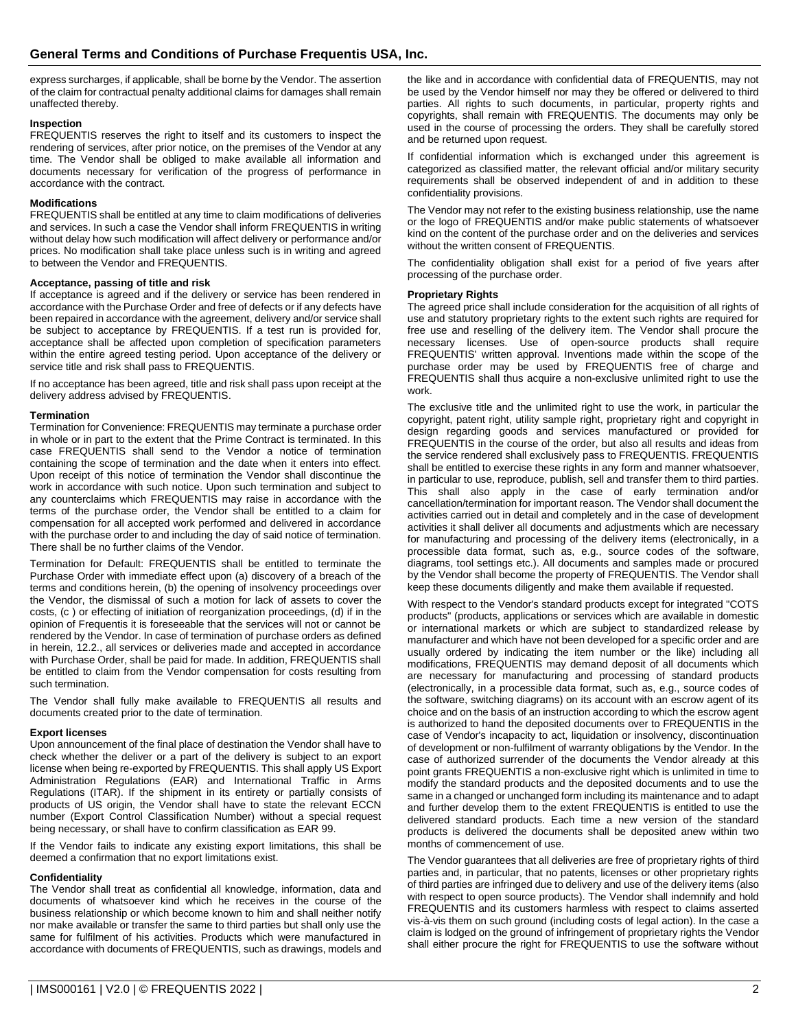express surcharges, if applicable, shall be borne by the Vendor. The assertion of the claim for contractual penalty additional claims for damages shall remain unaffected thereby.

## **Inspection**

FREQUENTIS reserves the right to itself and its customers to inspect the rendering of services, after prior notice, on the premises of the Vendor at any time. The Vendor shall be obliged to make available all information and documents necessary for verification of the progress of performance in accordance with the contract.

## **Modifications**

FREQUENTIS shall be entitled at any time to claim modifications of deliveries and services. In such a case the Vendor shall inform FREQUENTIS in writing without delay how such modification will affect delivery or performance and/or prices. No modification shall take place unless such is in writing and agreed to between the Vendor and FREQUENTIS.

### **Acceptance, passing of title and risk**

If acceptance is agreed and if the delivery or service has been rendered in accordance with the Purchase Order and free of defects or if any defects have been repaired in accordance with the agreement, delivery and/or service shall be subject to acceptance by FREQUENTIS. If a test run is provided for, acceptance shall be affected upon completion of specification parameters within the entire agreed testing period. Upon acceptance of the delivery or service title and risk shall pass to FREQUENTIS.

If no acceptance has been agreed, title and risk shall pass upon receipt at the delivery address advised by FREQUENTIS.

### **Termination**

Termination for Convenience: FREQUENTIS may terminate a purchase order in whole or in part to the extent that the Prime Contract is terminated. In this case FREQUENTIS shall send to the Vendor a notice of termination containing the scope of termination and the date when it enters into effect. Upon receipt of this notice of termination the Vendor shall discontinue the work in accordance with such notice. Upon such termination and subject to any counterclaims which FREQUENTIS may raise in accordance with the terms of the purchase order, the Vendor shall be entitled to a claim for compensation for all accepted work performed and delivered in accordance with the purchase order to and including the day of said notice of termination. There shall be no further claims of the Vendor.

Termination for Default: FREQUENTIS shall be entitled to terminate the Purchase Order with immediate effect upon (a) discovery of a breach of the terms and conditions herein, (b) the opening of insolvency proceedings over the Vendor, the dismissal of such a motion for lack of assets to cover the costs, (c ) or effecting of initiation of reorganization proceedings, (d) if in the opinion of Frequentis it is foreseeable that the services will not or cannot be rendered by the Vendor. In case of termination of purchase orders as defined in herein, 12.2., all services or deliveries made and accepted in accordance with Purchase Order, shall be paid for made. In addition, FREQUENTIS shall be entitled to claim from the Vendor compensation for costs resulting from such termination.

The Vendor shall fully make available to FREQUENTIS all results and documents created prior to the date of termination.

#### **Export licenses**

Upon announcement of the final place of destination the Vendor shall have to check whether the deliver or a part of the delivery is subject to an export license when being re-exported by FREQUENTIS. This shall apply US Export Administration Regulations (EAR) and International Traffic in Arms Regulations (ITAR). If the shipment in its entirety or partially consists of products of US origin, the Vendor shall have to state the relevant ECCN number (Export Control Classification Number) without a special request being necessary, or shall have to confirm classification as EAR 99.

If the Vendor fails to indicate any existing export limitations, this shall be deemed a confirmation that no export limitations exist.

### **Confidentiality**

The Vendor shall treat as confidential all knowledge, information, data and documents of whatsoever kind which he receives in the course of the business relationship or which become known to him and shall neither notify nor make available or transfer the same to third parties but shall only use the same for fulfilment of his activities. Products which were manufactured in accordance with documents of FREQUENTIS, such as drawings, models and

the like and in accordance with confidential data of FREQUENTIS, may not be used by the Vendor himself nor may they be offered or delivered to third parties. All rights to such documents, in particular, property rights and copyrights, shall remain with FREQUENTIS. The documents may only be used in the course of processing the orders. They shall be carefully stored and be returned upon request.

If confidential information which is exchanged under this agreement is categorized as classified matter, the relevant official and/or military security requirements shall be observed independent of and in addition to these confidentiality provisions.

The Vendor may not refer to the existing business relationship, use the name or the logo of FREQUENTIS and/or make public statements of whatsoever kind on the content of the purchase order and on the deliveries and services without the written consent of FREQUENTIS.

The confidentiality obligation shall exist for a period of five years after processing of the purchase order.

### **Proprietary Rights**

The agreed price shall include consideration for the acquisition of all rights of use and statutory proprietary rights to the extent such rights are required for free use and reselling of the delivery item. The Vendor shall procure the necessary licenses. Use of open-source products shall require FREQUENTIS' written approval. Inventions made within the scope of the purchase order may be used by FREQUENTIS free of charge and FREQUENTIS shall thus acquire a non-exclusive unlimited right to use the work.

The exclusive title and the unlimited right to use the work, in particular the copyright, patent right, utility sample right, proprietary right and copyright in design regarding goods and services manufactured or provided for FREQUENTIS in the course of the order, but also all results and ideas from the service rendered shall exclusively pass to FREQUENTIS. FREQUENTIS shall be entitled to exercise these rights in any form and manner whatsoever, in particular to use, reproduce, publish, sell and transfer them to third parties. This shall also apply in the case of early termination and/or cancellation/termination for important reason. The Vendor shall document the activities carried out in detail and completely and in the case of development activities it shall deliver all documents and adjustments which are necessary for manufacturing and processing of the delivery items (electronically, in a processible data format, such as, e.g., source codes of the software, diagrams, tool settings etc.). All documents and samples made or procured by the Vendor shall become the property of FREQUENTIS. The Vendor shall keep these documents diligently and make them available if requested.

With respect to the Vendor's standard products except for integrated "COTS products" (products, applications or services which are available in domestic or international markets or which are subject to standardized release by manufacturer and which have not been developed for a specific order and are usually ordered by indicating the item number or the like) including all modifications, FREQUENTIS may demand deposit of all documents which are necessary for manufacturing and processing of standard products (electronically, in a processible data format, such as, e.g., source codes of the software, switching diagrams) on its account with an escrow agent of its choice and on the basis of an instruction according to which the escrow agent is authorized to hand the deposited documents over to FREQUENTIS in the case of Vendor's incapacity to act, liquidation or insolvency, discontinuation of development or non-fulfilment of warranty obligations by the Vendor. In the case of authorized surrender of the documents the Vendor already at this point grants FREQUENTIS a non-exclusive right which is unlimited in time to modify the standard products and the deposited documents and to use the same in a changed or unchanged form including its maintenance and to adapt and further develop them to the extent FREQUENTIS is entitled to use the delivered standard products. Each time a new version of the standard products is delivered the documents shall be deposited anew within two months of commencement of use.

The Vendor guarantees that all deliveries are free of proprietary rights of third parties and, in particular, that no patents, licenses or other proprietary rights of third parties are infringed due to delivery and use of the delivery items (also with respect to open source products). The Vendor shall indemnify and hold FREQUENTIS and its customers harmless with respect to claims asserted vis-à-vis them on such ground (including costs of legal action). In the case a claim is lodged on the ground of infringement of proprietary rights the Vendor shall either procure the right for FREQUENTIS to use the software without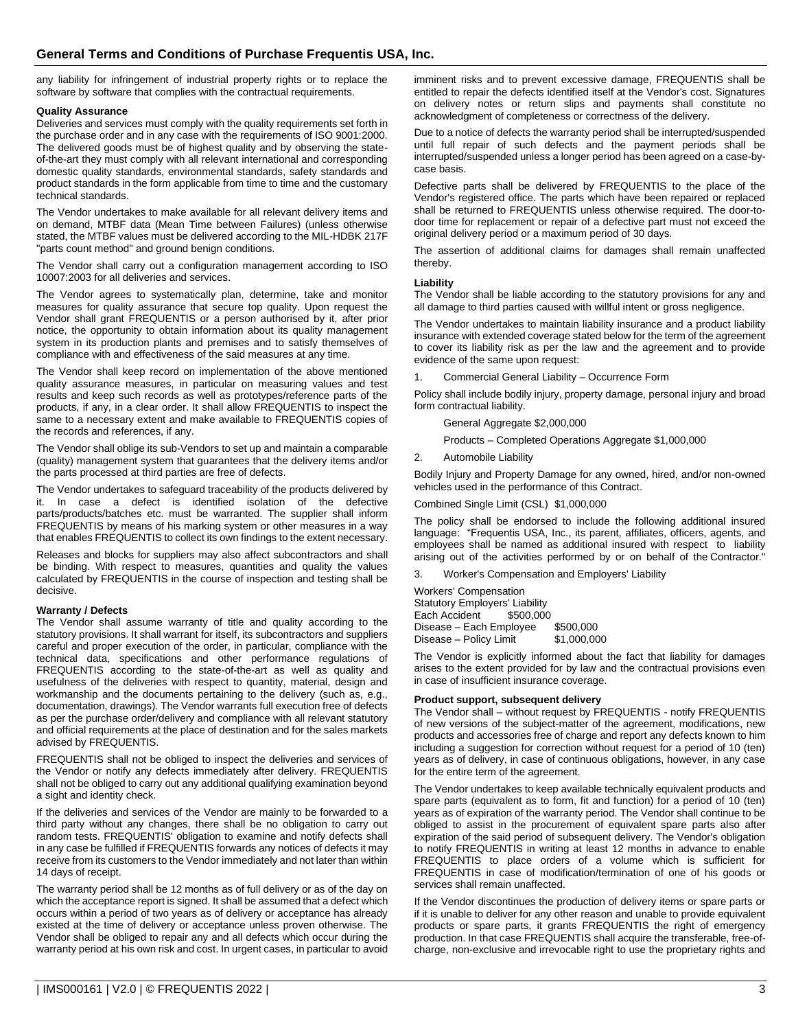any liability for infringement of industrial property rights or to replace the software by software that complies with the contractual requirements.

## **Quality Assurance**

Deliveries and services must comply with the quality requirements set forth in the purchase order and in any case with the requirements of ISO 9001:2000. The delivered goods must be of highest quality and by observing the stateof-the-art they must comply with all relevant international and corresponding domestic quality standards, environmental standards, safety standards and product standards in the form applicable from time to time and the customary technical standards.

The Vendor undertakes to make available for all relevant delivery items and on demand, MTBF data (Mean Time between Failures) (unless otherwise stated, the MTBF values must be delivered according to the MIL-HDBK 217F "parts count method" and ground benign conditions.

The Vendor shall carry out a configuration management according to ISO 10007:2003 for all deliveries and services.

The Vendor agrees to systematically plan, determine, take and monitor measures for quality assurance that secure top quality. Upon request the Vendor shall grant FREQUENTIS or a person authorised by it, after prior notice, the opportunity to obtain information about its quality management system in its production plants and premises and to satisfy themselves of compliance with and effectiveness of the said measures at any time.

The Vendor shall keep record on implementation of the above mentioned quality assurance measures, in particular on measuring values and test results and keep such records as well as prototypes/reference parts of the products, if any, in a clear order. It shall allow FREQUENTIS to inspect the same to a necessary extent and make available to FREQUENTIS copies of the records and references, if any.

The Vendor shall oblige its sub-Vendors to set up and maintain a comparable (quality) management system that guarantees that the delivery items and/or the parts processed at third parties are free of defects.

The Vendor undertakes to safeguard traceability of the products delivered by it. In case a defect is identified isolation of the defective parts/products/batches etc. must be warranted. The supplier shall inform FREQUENTIS by means of his marking system or other measures in a way that enables FREQUENTIS to collect its own findings to the extent necessary.

Releases and blocks for suppliers may also affect subcontractors and shall be binding. With respect to measures, quantities and quality the values calculated by FREQUENTIS in the course of inspection and testing shall be decisive.

## **Warranty / Defects**

The Vendor shall assume warranty of title and quality according to the statutory provisions. It shall warrant for itself, its subcontractors and suppliers careful and proper execution of the order, in particular, compliance with the technical data, specifications and other performance regulations of FREQUENTIS according to the state-of-the-art as well as quality and usefulness of the deliveries with respect to quantity, material, design and workmanship and the documents pertaining to the delivery (such as, e.g., documentation, drawings). The Vendor warrants full execution free of defects as per the purchase order/delivery and compliance with all relevant statutory and official requirements at the place of destination and for the sales markets advised by FREQUENTIS.

FREQUENTIS shall not be obliged to inspect the deliveries and services of the Vendor or notify any defects immediately after delivery. FREQUENTIS shall not be obliged to carry out any additional qualifying examination beyond a sight and identity check.

If the deliveries and services of the Vendor are mainly to be forwarded to a third party without any changes, there shall be no obligation to carry out random tests. FREQUENTIS' obligation to examine and notify defects shall in any case be fulfilled if FREQUENTIS forwards any notices of defects it may receive from its customers to the Vendor immediately and not later than within 14 days of receipt.

The warranty period shall be 12 months as of full delivery or as of the day on which the acceptance report is signed. It shall be assumed that a defect which occurs within a period of two years as of delivery or acceptance has already existed at the time of delivery or acceptance unless proven otherwise. The Vendor shall be obliged to repair any and all defects which occur during the warranty period at his own risk and cost. In urgent cases, in particular to avoid imminent risks and to prevent excessive damage, FREQUENTIS shall be entitled to repair the defects identified itself at the Vendor's cost. Signatures on delivery notes or return slips and payments shall constitute no acknowledgment of completeness or correctness of the delivery.

Due to a notice of defects the warranty period shall be interrupted/suspended until full repair of such defects and the payment periods shall be interrupted/suspended unless a longer period has been agreed on a case-bycase basis.

Defective parts shall be delivered by FREQUENTIS to the place of the Vendor's registered office. The parts which have been repaired or replaced shall be returned to FREQUENTIS unless otherwise required. The door-todoor time for replacement or repair of a defective part must not exceed the original delivery period or a maximum period of 30 days.

The assertion of additional claims for damages shall remain unaffected thereby.

## **Liability**

The Vendor shall be liable according to the statutory provisions for any and all damage to third parties caused with willful intent or gross negligence.

The Vendor undertakes to maintain liability insurance and a product liability insurance with extended coverage stated below for the term of the agreement to cover its liability risk as per the law and the agreement and to provide evidence of the same upon request:

1. Commercial General Liability – Occurrence Form

Policy shall include bodily injury, property damage, personal injury and broad form contractual liability.

General Aggregate \$2,000,000

Products – Completed Operations Aggregate \$1,000,000

2. Automobile Liability

Bodily Injury and Property Damage for any owned, hired, and/or non-owned vehicles used in the performance of this Contract.

Combined Single Limit (CSL) \$1,000,000

The policy shall be endorsed to include the following additional insured language: "Frequentis USA, Inc., its parent, affiliates, officers, agents, and employees shall be named as additional insured with respect to liability arising out of the activities performed by or on behalf of the Contractor."

3. Worker's Compensation and Employers' Liability

Workers' Compensation Statutory Employers' Liability<br>Each Accident \$500,000 Each Accident Disease – Each Employee \$500,000<br>Disease – Policy Limit \$1,000,000 Disease – Policy Limit

The Vendor is explicitly informed about the fact that liability for damages arises to the extent provided for by law and the contractual provisions even in case of insufficient insurance coverage.

## **Product support, subsequent delivery**

The Vendor shall – without request by FREQUENTIS - notify FREQUENTIS of new versions of the subject-matter of the agreement, modifications, new products and accessories free of charge and report any defects known to him including a suggestion for correction without request for a period of 10 (ten) years as of delivery, in case of continuous obligations, however, in any case for the entire term of the agreement.

The Vendor undertakes to keep available technically equivalent products and spare parts (equivalent as to form, fit and function) for a period of 10 (ten) years as of expiration of the warranty period. The Vendor shall continue to be obliged to assist in the procurement of equivalent spare parts also after expiration of the said period of subsequent delivery. The Vendor's obligation to notify FREQUENTIS in writing at least 12 months in advance to enable FREQUENTIS to place orders of a volume which is sufficient for FREQUENTIS in case of modification/termination of one of his goods or services shall remain unaffected.

If the Vendor discontinues the production of delivery items or spare parts or if it is unable to deliver for any other reason and unable to provide equivalent products or spare parts, it grants FREQUENTIS the right of emergency production. In that case FREQUENTIS shall acquire the transferable, free-ofcharge, non-exclusive and irrevocable right to use the proprietary rights and